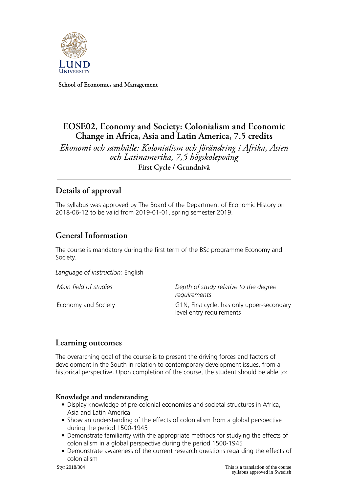

**School of Economics and Management**

# **EOSE02, Economy and Society: Colonialism and Economic Change in Africa, Asia and Latin America, 7.5 credits**

*Ekonomi och samhälle: Kolonialism och förändring i Afrika, Asien och Latinamerika, 7,5 högskolepoäng* **First Cycle / Grundnivå**

# **Details of approval**

The syllabus was approved by The Board of the Department of Economic History on 2018-06-12 to be valid from 2019-01-01, spring semester 2019.

# **General Information**

The course is mandatory during the first term of the BSc programme Economy and Society.

*Language of instruction:* English

*Main field of studies Depth of study relative to the degree requirements* Economy and Society G1N, First cycle, has only upper-secondary level entry requirements

### **Learning outcomes**

The overarching goal of the course is to present the driving forces and factors of development in the South in relation to contemporary development issues, from a historical perspective. Upon completion of the course, the student should be able to:

### **Knowledge and understanding**

- Display knowledge of pre-colonial economies and societal structures in Africa, Asia and Latin America.
- Show an understanding of the effects of colonialism from a global perspective during the period 1500-1945
- Demonstrate familiarity with the appropriate methods for studying the effects of colonialism in a global perspective during the period 1500-1945
- Demonstrate awareness of the current research questions regarding the effects of colonialism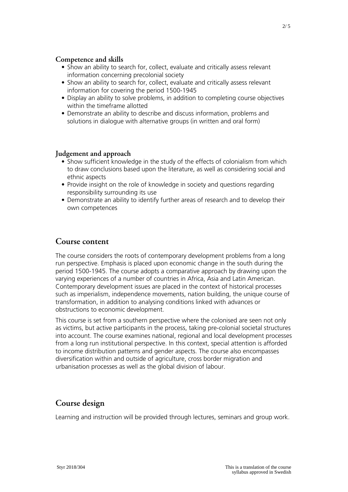#### **Competence and skills**

- Show an ability to search for, collect, evaluate and critically assess relevant information concerning precolonial society
- Show an ability to search for, collect, evaluate and critically assess relevant information for covering the period 1500-1945
- Display an ability to solve problems, in addition to completing course objectives within the timeframe allotted
- Demonstrate an ability to describe and discuss information, problems and solutions in dialogue with alternative groups (in written and oral form)

#### **Judgement and approach**

- Show sufficient knowledge in the study of the effects of colonialism from which to draw conclusions based upon the literature, as well as considering social and ethnic aspects
- Provide insight on the role of knowledge in society and questions regarding responsibility surrounding its use
- Demonstrate an ability to identify further areas of research and to develop their own competences

#### **Course content**

The course considers the roots of contemporary development problems from a long run perspective. Emphasis is placed upon economic change in the south during the period 1500-1945. The course adopts a comparative approach by drawing upon the varying experiences of a number of countries in Africa, Asia and Latin American. Contemporary development issues are placed in the context of historical processes such as imperialism, independence movements, nation building, the unique course of transformation, in addition to analysing conditions linked with advances or obstructions to economic development.

This course is set from a southern perspective where the colonised are seen not only as victims, but active participants in the process, taking pre-colonial societal structures into account. The course examines national, regional and local development processes from a long run institutional perspective. In this context, special attention is afforded to income distribution patterns and gender aspects. The course also encompasses diversification within and outside of agriculture, cross border migration and urbanisation processes as well as the global division of labour.

### **Course design**

Learning and instruction will be provided through lectures, seminars and group work.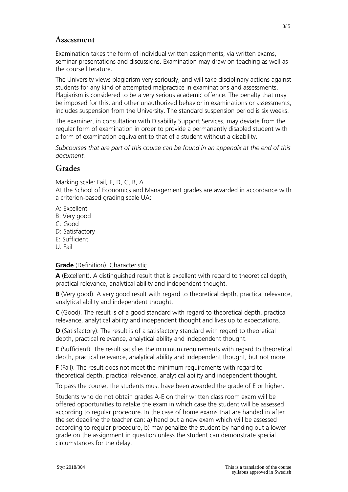#### **Assessment**

Examination takes the form of individual written assignments, via written exams, seminar presentations and discussions. Examination may draw on teaching as well as the course literature.

The University views plagiarism very seriously, and will take disciplinary actions against students for any kind of attempted malpractice in examinations and assessments. Plagiarism is considered to be a very serious academic offence. The penalty that may be imposed for this, and other unauthorized behavior in examinations or assessments, includes suspension from the University. The standard suspension period is six weeks.

The examiner, in consultation with Disability Support Services, may deviate from the regular form of examination in order to provide a permanently disabled student with a form of examination equivalent to that of a student without a disability.

*Subcourses that are part of this course can be found in an appendix at the end of this document.*

### **Grades**

Marking scale: Fail, E, D, C, B, A.

At the School of Economics and Management grades are awarded in accordance with a criterion-based grading scale UA:

- A: Excellent
- B: Very good
- C: Good
- D: Satisfactory
- E: Sufficient
- U: Fail

#### **Grade** (Definition). Characteristic

**A** (Excellent). A distinguished result that is excellent with regard to theoretical depth, practical relevance, analytical ability and independent thought.

**B** (Very good). A very good result with regard to theoretical depth, practical relevance, analytical ability and independent thought.

**C** (Good). The result is of a good standard with regard to theoretical depth, practical relevance, analytical ability and independent thought and lives up to expectations.

**D** (Satisfactory). The result is of a satisfactory standard with regard to theoretical depth, practical relevance, analytical ability and independent thought.

**E** (Sufficient). The result satisfies the minimum requirements with regard to theoretical depth, practical relevance, analytical ability and independent thought, but not more.

**F** (Fail). The result does not meet the minimum requirements with regard to theoretical depth, practical relevance, analytical ability and independent thought.

To pass the course, the students must have been awarded the grade of E or higher.

Students who do not obtain grades A-E on their written class room exam will be offered opportunities to retake the exam in which case the student will be assessed according to regular procedure. In the case of home exams that are handed in after the set deadline the teacher can: a) hand out a new exam which will be assessed according to regular procedure, b) may penalize the student by handing out a lower grade on the assignment in question unless the student can demonstrate special circumstances for the delay.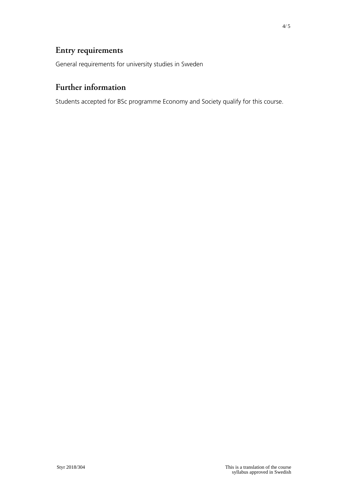# **Entry requirements**

General requirements for university studies in Sweden

# **Further information**

Students accepted for BSc programme Economy and Society qualify for this course.